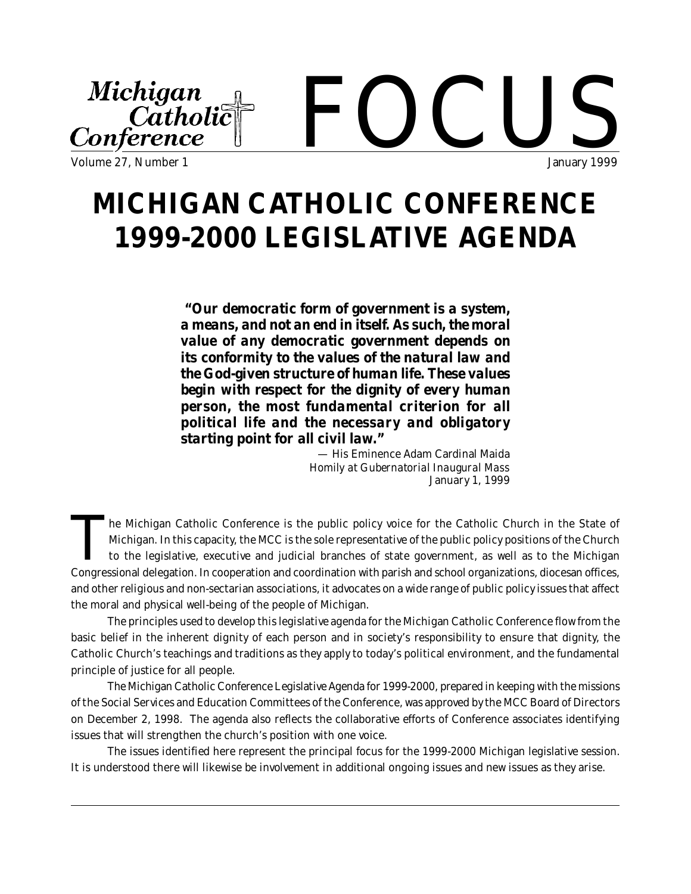#### Michigan  $\blacksquare$ Catholic Conference Volume 27, Number 1 January 1999

# **MICHIGAN CATHOLIC CONFERENCE 1999-2000 LEGISLATIVE AGENDA**

*"Our democratic form of government is a system, a means, and not an end in itself. As such, the moral value of any democratic government depends on its conformity to the values of the natural law and the God-given structure of human life. These values begin with respect for the dignity of every human person, the most fundamental criterion for all political life and the necessary and obligatory starting point for all civil law."*

> — His Eminence Adam Cardinal Maida *Homily at Gubernatorial Inaugural Mass* January 1, 1999

The Michigan Catholic Conference is the public policy voice for the Catholic Church in the State of Michigan. In this capacity, the MCC is the sole representative of the public policy positions of the Church to the legisla he Michigan Catholic Conference is the public policy voice for the Catholic Church in the State of Michigan. In this capacity, the MCC is the sole representative of the public policy positions of the Church to the legislative, executive and judicial branches of state government, as well as to the Michigan and other religious and non-sectarian associations, it advocates on a wide range of public policy issues that affect the moral and physical well-being of the people of Michigan.

The principles used to develop this legislative agenda for the Michigan Catholic Conference flow from the basic belief in the inherent dignity of each person and in society's responsibility to ensure that dignity, the Catholic Church's teachings and traditions as they apply to today's political environment, and the fundamental principle of justice for all people.

The Michigan Catholic Conference Legislative Agenda for 1999-2000, prepared in keeping with the missions of the Social Services and Education Committees of the Conference, was approved by the MCC Board of Directors on December 2, 1998. The agenda also reflects the collaborative efforts of Conference associates identifying issues that will strengthen the church's position with one voice.

The issues identified here represent the principal focus for the 1999-2000 Michigan legislative session. It is understood there will likewise be involvement in additional ongoing issues and new issues as they arise.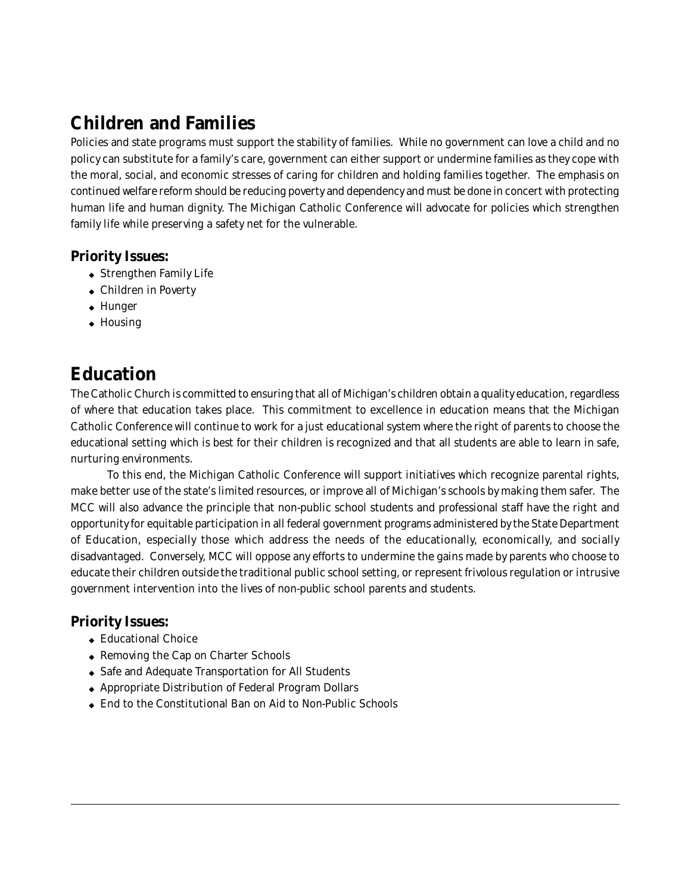## **Children and Families**

Policies and state programs must support the stability of families. While no government can love a child and no policy can substitute for a family's care, government can either support or undermine families as they cope with the moral, social, and economic stresses of caring for children and holding families together. The emphasis on continued welfare reform should be reducing poverty and dependency and must be done in concert with protecting human life and human dignity. The Michigan Catholic Conference will advocate for policies which strengthen family life while preserving a safety net for the vulnerable.

#### **Priority Issues:**

- ◆ Strengthen Family Life
- ◆ Children in Poverty
- ◆ Hunger
- ◆ Housing

## **Education**

The Catholic Church is committed to ensuring that all of Michigan's children obtain a quality education, regardless of where that education takes place. This commitment to excellence in education means that the Michigan Catholic Conference will continue to work for a just educational system where the right of parents to choose the educational setting which is best for their children is recognized and that all students are able to learn in safe, nurturing environments.

To this end, the Michigan Catholic Conference will support initiatives which recognize parental rights, make better use of the state's limited resources, or improve all of Michigan's schools by making them safer. The MCC will also advance the principle that non-public school students and professional staff have the right and opportunity for equitable participation in all federal government programs administered by the State Department of Education, especially those which address the needs of the educationally, economically, and socially disadvantaged. Conversely, MCC will oppose any efforts to undermine the gains made by parents who choose to educate their children outside the traditional public school setting, or represent frivolous regulation or intrusive government intervention into the lives of non-public school parents and students.

### **Priority Issues:**

- ◆ Educational Choice
- ◆ Removing the Cap on Charter Schools
- ◆ Safe and Adequate Transportation for All Students
- ◆ Appropriate Distribution of Federal Program Dollars
- ◆ End to the Constitutional Ban on Aid to Non-Public Schools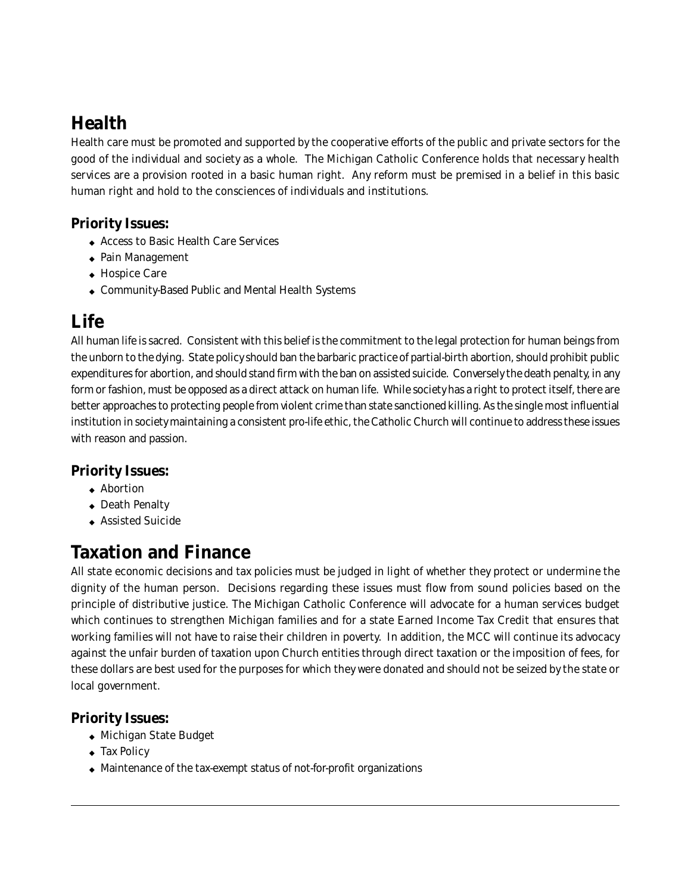# **Health**

Health care must be promoted and supported by the cooperative efforts of the public and private sectors for the good of the individual and society as a whole. The Michigan Catholic Conference holds that necessary health services are a provision rooted in a basic human right. Any reform must be premised in a belief in this basic human right and hold to the consciences of individuals and institutions.

#### **Priority Issues:**

- ◆ Access to Basic Health Care Services
- ◆ Pain Management
- ◆ Hospice Care
- ◆ Community-Based Public and Mental Health Systems

### **Life**

All human life is sacred. Consistent with this belief is the commitment to the legal protection for human beings from the unborn to the dying. State policy should ban the barbaric practice of partial-birth abortion, should prohibit public expenditures for abortion, and should stand firm with the ban on assisted suicide. Conversely the death penalty, in any form or fashion, must be opposed as a direct attack on human life. While society has a right to protect itself, there are better approaches to protecting people from violent crime than state sanctioned killing. As the single most influential institution in society maintaining a consistent pro-life ethic, the Catholic Church will continue to address these issues with reason and passion.

### **Priority Issues:**

- ◆ Abortion
- ◆ Death Penalty
- ◆ Assisted Suicide

### **Taxation and Finance**

All state economic decisions and tax policies must be judged in light of whether they protect or undermine the dignity of the human person. Decisions regarding these issues must flow from sound policies based on the principle of distributive justice. The Michigan Catholic Conference will advocate for a human services budget which continues to strengthen Michigan families and for a state Earned Income Tax Credit that ensures that working families will not have to raise their children in poverty. In addition, the MCC will continue its advocacy against the unfair burden of taxation upon Church entities through direct taxation or the imposition of fees, for these dollars are best used for the purposes for which they were donated and should not be seized by the state or local government.

### **Priority Issues:**

- ◆ Michigan State Budget
- ◆ Tax Policy
- ◆ Maintenance of the tax-exempt status of not-for-profit organizations